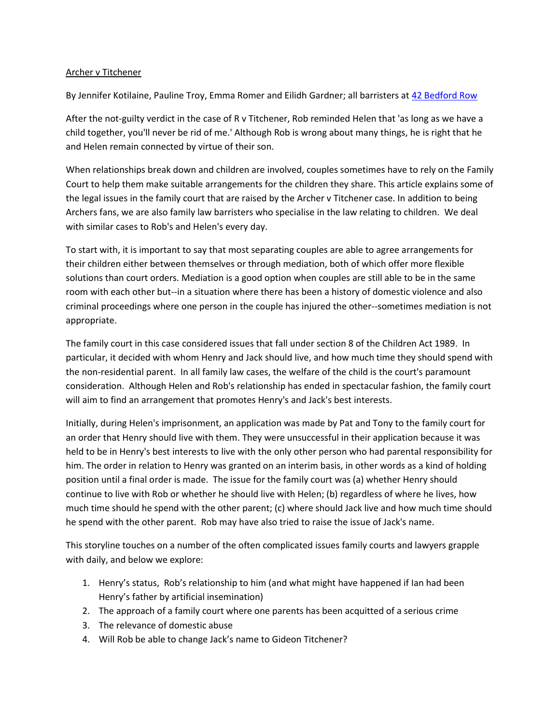### Archer v Titchener

By Jennifer Kotilaine, Pauline Troy, Emma Romer and Eilidh Gardner; all barristers at [42 Bedford Row](http://www.42br.com/)

After the not-guilty verdict in the case of R v Titchener, Rob reminded Helen that 'as long as we have a child together, you'll never be rid of me.' Although Rob is wrong about many things, he is right that he and Helen remain connected by virtue of their son.

When relationships break down and children are involved, couples sometimes have to rely on the Family Court to help them make suitable arrangements for the children they share. This article explains some of the legal issues in the family court that are raised by the Archer v Titchener case. In addition to being Archers fans, we are also family law barristers who specialise in the law relating to children. We deal with similar cases to Rob's and Helen's every day.

To start with, it is important to say that most separating couples are able to agree arrangements for their children either between themselves or through mediation, both of which offer more flexible solutions than court orders. Mediation is a good option when couples are still able to be in the same room with each other but--in a situation where there has been a history of domestic violence and also criminal proceedings where one person in the couple has injured the other--sometimes mediation is not appropriate.

The family court in this case considered issues that fall under section 8 of the Children Act 1989. In particular, it decided with whom Henry and Jack should live, and how much time they should spend with the non-residential parent. In all family law cases, the welfare of the child is the court's paramount consideration. Although Helen and Rob's relationship has ended in spectacular fashion, the family court will aim to find an arrangement that promotes Henry's and Jack's best interests.

Initially, during Helen's imprisonment, an application was made by Pat and Tony to the family court for an order that Henry should live with them. They were unsuccessful in their application because it was held to be in Henry's best interests to live with the only other person who had parental responsibility for him. The order in relation to Henry was granted on an interim basis, in other words as a kind of holding position until a final order is made. The issue for the family court was (a) whether Henry should continue to live with Rob or whether he should live with Helen; (b) regardless of where he lives, how much time should he spend with the other parent; (c) where should Jack live and how much time should he spend with the other parent. Rob may have also tried to raise the issue of Jack's name.

This storyline touches on a number of the often complicated issues family courts and lawyers grapple with daily, and below we explore:

- 1. Henry's status, Rob's relationship to him (and what might have happened if Ian had been Henry's father by artificial insemination)
- 2. The approach of a family court where one parents has been acquitted of a serious crime
- 3. The relevance of domestic abuse
- 4. Will Rob be able to change Jack's name to Gideon Titchener?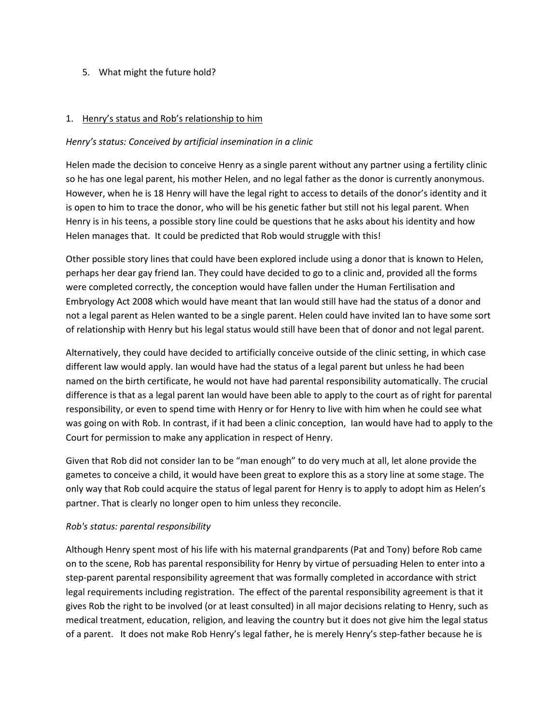## 5. What might the future hold?

#### 1. Henry's status and Rob's relationship to him

#### *Henry's status: Conceived by artificial insemination in a clinic*

Helen made the decision to conceive Henry as a single parent without any partner using a fertility clinic so he has one legal parent, his mother Helen, and no legal father as the donor is currently anonymous. However, when he is 18 Henry will have the legal right to access to details of the donor's identity and it is open to him to trace the donor, who will be his genetic father but still not his legal parent. When Henry is in his teens, a possible story line could be questions that he asks about his identity and how Helen manages that. It could be predicted that Rob would struggle with this!

Other possible story lines that could have been explored include using a donor that is known to Helen, perhaps her dear gay friend Ian. They could have decided to go to a clinic and, provided all the forms were completed correctly, the conception would have fallen under the Human Fertilisation and Embryology Act 2008 which would have meant that Ian would still have had the status of a donor and not a legal parent as Helen wanted to be a single parent. Helen could have invited Ian to have some sort of relationship with Henry but his legal status would still have been that of donor and not legal parent.

Alternatively, they could have decided to artificially conceive outside of the clinic setting, in which case different law would apply. Ian would have had the status of a legal parent but unless he had been named on the birth certificate, he would not have had parental responsibility automatically. The crucial difference is that as a legal parent Ian would have been able to apply to the court as of right for parental responsibility, or even to spend time with Henry or for Henry to live with him when he could see what was going on with Rob. In contrast, if it had been a clinic conception, Ian would have had to apply to the Court for permission to make any application in respect of Henry.

Given that Rob did not consider Ian to be "man enough" to do very much at all, let alone provide the gametes to conceive a child, it would have been great to explore this as a story line at some stage. The only way that Rob could acquire the status of legal parent for Henry is to apply to adopt him as Helen's partner. That is clearly no longer open to him unless they reconcile.

### *Rob's status: parental responsibility*

Although Henry spent most of his life with his maternal grandparents (Pat and Tony) before Rob came on to the scene, Rob has parental responsibility for Henry by virtue of persuading Helen to enter into a step-parent parental responsibility agreement that was formally completed in accordance with strict legal requirements including registration. The effect of the parental responsibility agreement is that it gives Rob the right to be involved (or at least consulted) in all major decisions relating to Henry, such as medical treatment, education, religion, and leaving the country but it does not give him the legal status of a parent. It does not make Rob Henry's legal father, he is merely Henry's step-father because he is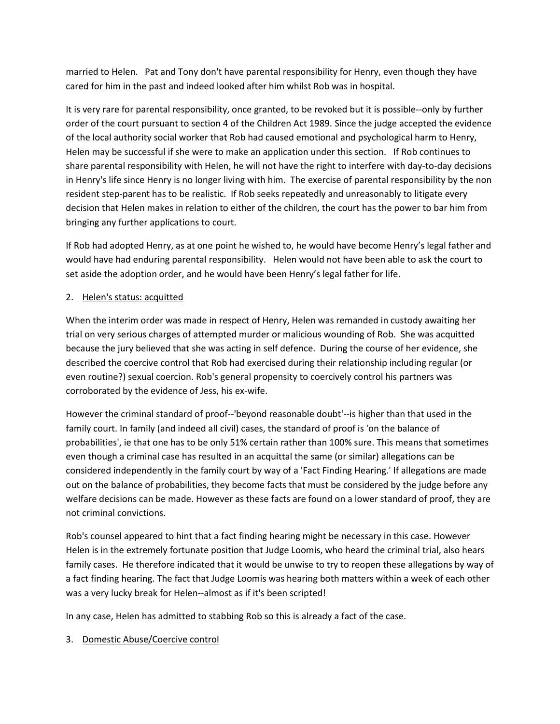married to Helen. Pat and Tony don't have parental responsibility for Henry, even though they have cared for him in the past and indeed looked after him whilst Rob was in hospital.

It is very rare for parental responsibility, once granted, to be revoked but it is possible--only by further order of the court pursuant to section 4 of the Children Act 1989. Since the judge accepted the evidence of the local authority social worker that Rob had caused emotional and psychological harm to Henry, Helen may be successful if she were to make an application under this section. If Rob continues to share parental responsibility with Helen, he will not have the right to interfere with day-to-day decisions in Henry's life since Henry is no longer living with him. The exercise of parental responsibility by the non resident step-parent has to be realistic. If Rob seeks repeatedly and unreasonably to litigate every decision that Helen makes in relation to either of the children, the court has the power to bar him from bringing any further applications to court.

If Rob had adopted Henry, as at one point he wished to, he would have become Henry's legal father and would have had enduring parental responsibility. Helen would not have been able to ask the court to set aside the adoption order, and he would have been Henry's legal father for life.

# 2. Helen's status: acquitted

When the interim order was made in respect of Henry, Helen was remanded in custody awaiting her trial on very serious charges of attempted murder or malicious wounding of Rob. She was acquitted because the jury believed that she was acting in self defence. During the course of her evidence, she described the coercive control that Rob had exercised during their relationship including regular (or even routine?) sexual coercion. Rob's general propensity to coercively control his partners was corroborated by the evidence of Jess, his ex-wife.

However the criminal standard of proof--'beyond reasonable doubt'--is higher than that used in the family court. In family (and indeed all civil) cases, the standard of proof is 'on the balance of probabilities', ie that one has to be only 51% certain rather than 100% sure. This means that sometimes even though a criminal case has resulted in an acquittal the same (or similar) allegations can be considered independently in the family court by way of a 'Fact Finding Hearing.' If allegations are made out on the balance of probabilities, they become facts that must be considered by the judge before any welfare decisions can be made. However as these facts are found on a lower standard of proof, they are not criminal convictions.

Rob's counsel appeared to hint that a fact finding hearing might be necessary in this case. However Helen is in the extremely fortunate position that Judge Loomis, who heard the criminal trial, also hears family cases. He therefore indicated that it would be unwise to try to reopen these allegations by way of a fact finding hearing. The fact that Judge Loomis was hearing both matters within a week of each other was a very lucky break for Helen--almost as if it's been scripted!

In any case, Helen has admitted to stabbing Rob so this is already a fact of the case.

# 3. Domestic Abuse/Coercive control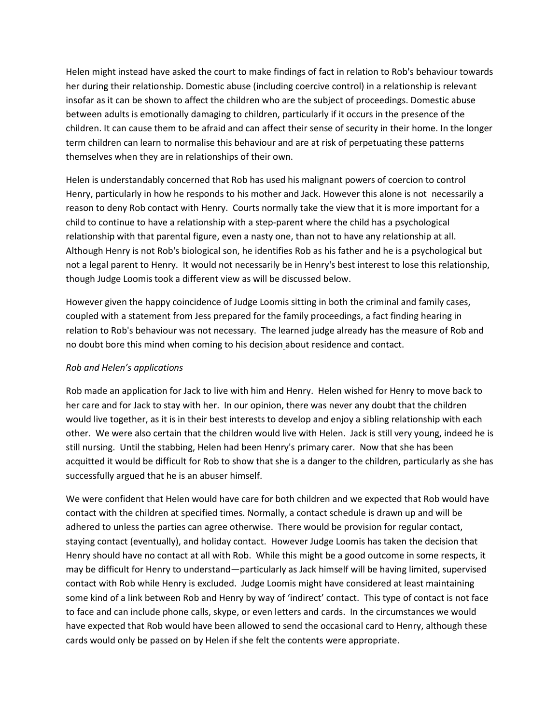Helen might instead have asked the court to make findings of fact in relation to Rob's behaviour towards her during their relationship. Domestic abuse (including coercive control) in a relationship is relevant insofar as it can be shown to affect the children who are the subject of proceedings. Domestic abuse between adults is emotionally damaging to children, particularly if it occurs in the presence of the children. It can cause them to be afraid and can affect their sense of security in their home. In the longer term children can learn to normalise this behaviour and are at risk of perpetuating these patterns themselves when they are in relationships of their own.

Helen is understandably concerned that Rob has used his malignant powers of coercion to control Henry, particularly in how he responds to his mother and Jack. However this alone is not necessarily a reason to deny Rob contact with Henry. Courts normally take the view that it is more important for a child to continue to have a relationship with a step-parent where the child has a psychological relationship with that parental figure, even a nasty one, than not to have any relationship at all. Although Henry is not Rob's biological son, he identifies Rob as his father and he is a psychological but not a legal parent to Henry. It would not necessarily be in Henry's best interest to lose this relationship, though Judge Loomis took a different view as will be discussed below.

However given the happy coincidence of Judge Loomis sitting in both the criminal and family cases, coupled with a statement from Jess prepared for the family proceedings, a fact finding hearing in relation to Rob's behaviour was not necessary. The learned judge already has the measure of Rob and no doubt bore this mind when coming to his decision about residence and contact.

### *Rob and Helen's applications*

Rob made an application for Jack to live with him and Henry. Helen wished for Henry to move back to her care and for Jack to stay with her. In our opinion, there was never any doubt that the children would live together, as it is in their best interests to develop and enjoy a sibling relationship with each other. We were also certain that the children would live with Helen. Jack is still very young, indeed he is still nursing. Until the stabbing, Helen had been Henry's primary carer. Now that she has been acquitted it would be difficult for Rob to show that she is a danger to the children, particularly as she has successfully argued that he is an abuser himself.

We were confident that Helen would have care for both children and we expected that Rob would have contact with the children at specified times. Normally, a contact schedule is drawn up and will be adhered to unless the parties can agree otherwise. There would be provision for regular contact, staying contact (eventually), and holiday contact. However Judge Loomis has taken the decision that Henry should have no contact at all with Rob. While this might be a good outcome in some respects, it may be difficult for Henry to understand—particularly as Jack himself will be having limited, supervised contact with Rob while Henry is excluded. Judge Loomis might have considered at least maintaining some kind of a link between Rob and Henry by way of 'indirect' contact. This type of contact is not face to face and can include phone calls, skype, or even letters and cards. In the circumstances we would have expected that Rob would have been allowed to send the occasional card to Henry, although these cards would only be passed on by Helen if she felt the contents were appropriate.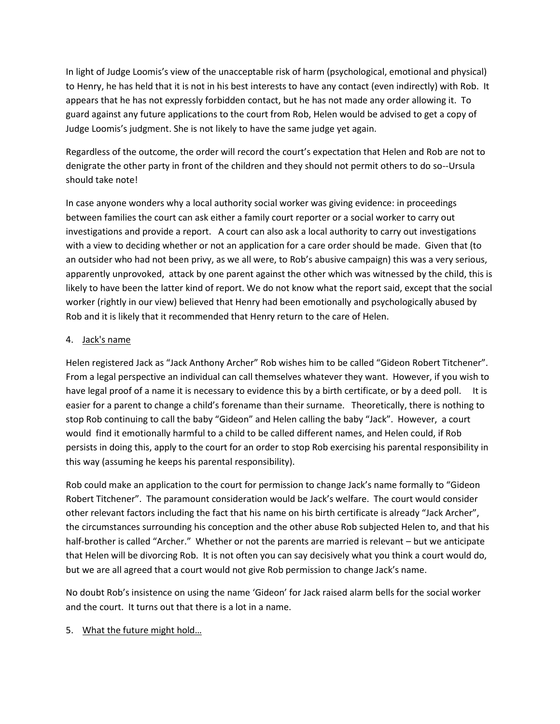In light of Judge Loomis's view of the unacceptable risk of harm (psychological, emotional and physical) to Henry, he has held that it is not in his best interests to have any contact (even indirectly) with Rob. It appears that he has not expressly forbidden contact, but he has not made any order allowing it. To guard against any future applications to the court from Rob, Helen would be advised to get a copy of Judge Loomis's judgment. She is not likely to have the same judge yet again.

Regardless of the outcome, the order will record the court's expectation that Helen and Rob are not to denigrate the other party in front of the children and they should not permit others to do so--Ursula should take note!

In case anyone wonders why a local authority social worker was giving evidence: in proceedings between families the court can ask either a family court reporter or a social worker to carry out investigations and provide a report. A court can also ask a local authority to carry out investigations with a view to deciding whether or not an application for a care order should be made. Given that (to an outsider who had not been privy, as we all were, to Rob's abusive campaign) this was a very serious, apparently unprovoked, attack by one parent against the other which was witnessed by the child, this is likely to have been the latter kind of report. We do not know what the report said, except that the social worker (rightly in our view) believed that Henry had been emotionally and psychologically abused by Rob and it is likely that it recommended that Henry return to the care of Helen.

### 4. Jack's name

Helen registered Jack as "Jack Anthony Archer" Rob wishes him to be called "Gideon Robert Titchener". From a legal perspective an individual can call themselves whatever they want. However, if you wish to have legal proof of a name it is necessary to evidence this by a birth certificate, or by a deed poll. It is easier for a parent to change a child's forename than their surname. Theoretically, there is nothing to stop Rob continuing to call the baby "Gideon" and Helen calling the baby "Jack". However, a court would find it emotionally harmful to a child to be called different names, and Helen could, if Rob persists in doing this, apply to the court for an order to stop Rob exercising his parental responsibility in this way (assuming he keeps his parental responsibility).

Rob could make an application to the court for permission to change Jack's name formally to "Gideon Robert Titchener". The paramount consideration would be Jack's welfare. The court would consider other relevant factors including the fact that his name on his birth certificate is already "Jack Archer", the circumstances surrounding his conception and the other abuse Rob subjected Helen to, and that his half-brother is called "Archer." Whether or not the parents are married is relevant – but we anticipate that Helen will be divorcing Rob. It is not often you can say decisively what you think a court would do, but we are all agreed that a court would not give Rob permission to change Jack's name.

No doubt Rob's insistence on using the name 'Gideon' for Jack raised alarm bells for the social worker and the court. It turns out that there is a lot in a name.

5. What the future might hold…